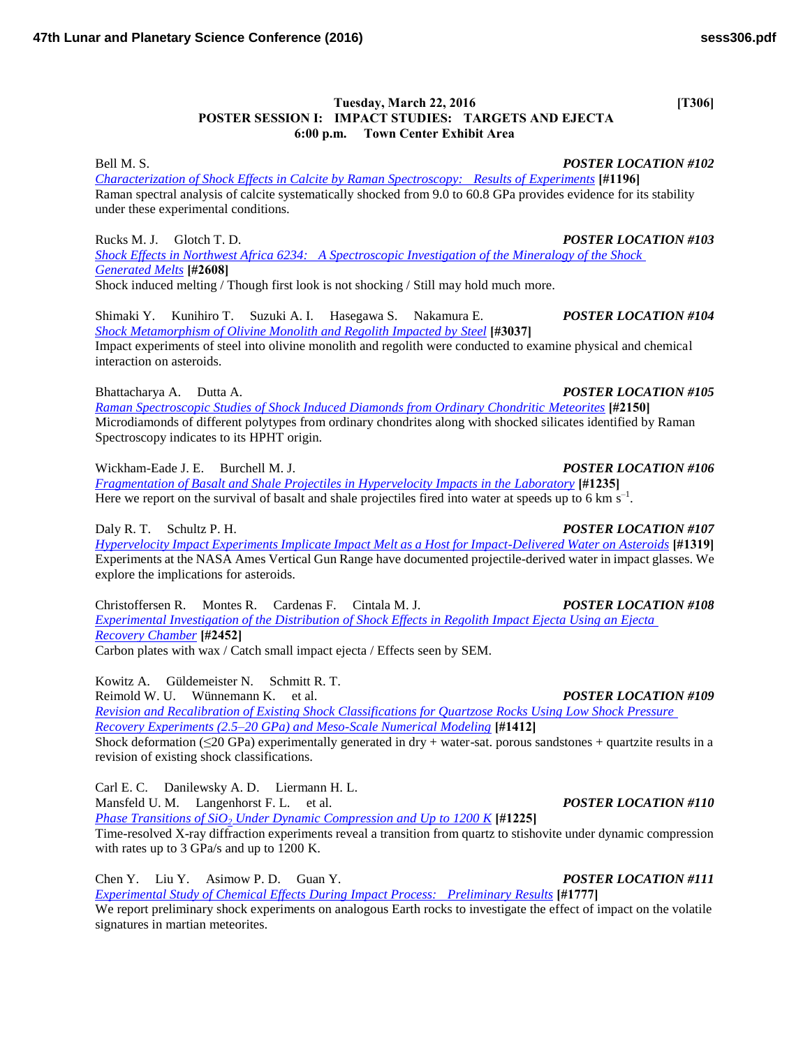## **Tuesday, March 22, 2016** [T306] **POSTER SESSION I: IMPACT STUDIES: TARGETS AND EJECTA 6:00 p.m. Town Center Exhibit Area**

Bell M. S. *POSTER LOCATION #102 [Characterization of Shock Effects in Calcite by Raman Spectroscopy: Results of Experiments](http://www.hou.usra.edu/meetings/lpsc2016/pdf/1196.pdf)* **[#1196]** Raman spectral analysis of calcite systematically shocked from 9.0 to 60.8 GPa provides evidence for its stability under these experimental conditions.

Rucks M. J. Glotch T. D. *POSTER LOCATION #103 [Shock Effects in Northwest Africa 6234: A Spectroscopic Investigation of the Mineralogy of the Shock](http://www.hou.usra.edu/meetings/lpsc2016/pdf/2608.pdf)  [Generated Melts](http://www.hou.usra.edu/meetings/lpsc2016/pdf/2608.pdf)* **[#2608]**

Shock induced melting / Though first look is not shocking / Still may hold much more.

Shimaki Y. Kunihiro T. Suzuki A. I. Hasegawa S. Nakamura E. *POSTER LOCATION #104 [Shock Metamorphism of Olivine Monolith and Regolith Impacted by Steel](http://www.hou.usra.edu/meetings/lpsc2016/pdf/3037.pdf)* **[#3037]** Impact experiments of steel into olivine monolith and regolith were conducted to examine physical and chemical interaction on asteroids.

Bhattacharya A. Dutta A. *POSTER LOCATION #105*

*[Raman Spectroscopic Studies of Shock Induced Diamonds from Ordinary Chondritic Meteorites](http://www.hou.usra.edu/meetings/lpsc2016/pdf/2150.pdf)* **[#2150]** Microdiamonds of different polytypes from ordinary chondrites along with shocked silicates identified by Raman Spectroscopy indicates to its HPHT origin.

Wickham-Eade J. E. Burchell M. J. *POSTER LOCATION #106*

*[Fragmentation of Basalt and Shale Projectiles in Hypervelocity Impacts in the Laboratory](http://www.hou.usra.edu/meetings/lpsc2016/pdf/1235.pdf)* **[#1235]** Here we report on the survival of basalt and shale projectiles fired into water at speeds up to 6 km  $s^{-1}$ .

Daly R. T. Schultz P. H. *POSTER LOCATION #107*

*[Hypervelocity Impact Experiments Implicate Impact Melt as a Host for Impact-Delivered Water on Asteroids](http://www.hou.usra.edu/meetings/lpsc2016/pdf/1319.pdf)* **[#1319]** Experiments at the NASA Ames Vertical Gun Range have documented projectile-derived water in impact glasses. We explore the implications for asteroids.

Christoffersen R. Montes R. Cardenas F. Cintala M. J. *POSTER LOCATION #108 [Experimental Investigation of the Distribution of Shock Effects in Regolith Impact Ejecta Using an Ejecta](http://www.hou.usra.edu/meetings/lpsc2016/pdf/2452.pdf)  [Recovery Chamber](http://www.hou.usra.edu/meetings/lpsc2016/pdf/2452.pdf)* **[#2452]** Carbon plates with wax / Catch small impact ejecta / Effects seen by SEM.

Kowitz A. Güldemeister N. Schmitt R. T. Reimold W. U. Wünnemann K. et al. *POSTER LOCATION #109 [Revision and Recalibration of Existing Shock Classifications for Quartzose Rocks Using Low Shock Pressure](http://www.hou.usra.edu/meetings/lpsc2016/pdf/1412.pdf)  [Recovery Experiments \(2.5–20 GPa\) and Meso-Scale Numerical Modeling](http://www.hou.usra.edu/meetings/lpsc2016/pdf/1412.pdf)* **[#1412]** Shock deformation ( $\leq$ 20 GPa) experimentally generated in dry + water-sat. porous sandstones + quartzite results in a

revision of existing shock classifications.

Carl E. C. Danilewsky A. D. Liermann H. L. Mansfeld U. M. Langenhorst F. L. et al. *POSTER LOCATION #110*

*Phase Transitions of SiO2 [Under Dynamic Compression and Up to 1200 K](http://www.hou.usra.edu/meetings/lpsc2016/pdf/1225.pdf)* **[#1225]**

Time-resolved X-ray diffraction experiments reveal a transition from quartz to stishovite under dynamic compression with rates up to 3 GPa/s and up to 1200 K.

Chen Y. Liu Y. Asimow P. D. Guan Y. *POSTER LOCATION #111 [Experimental Study of Chemical Effects During Impact Process: Preliminary Results](http://www.hou.usra.edu/meetings/lpsc2016/pdf/1777.pdf)* **[#1777]** We report preliminary shock experiments on analogous Earth rocks to investigate the effect of impact on the volatile signatures in martian meteorites.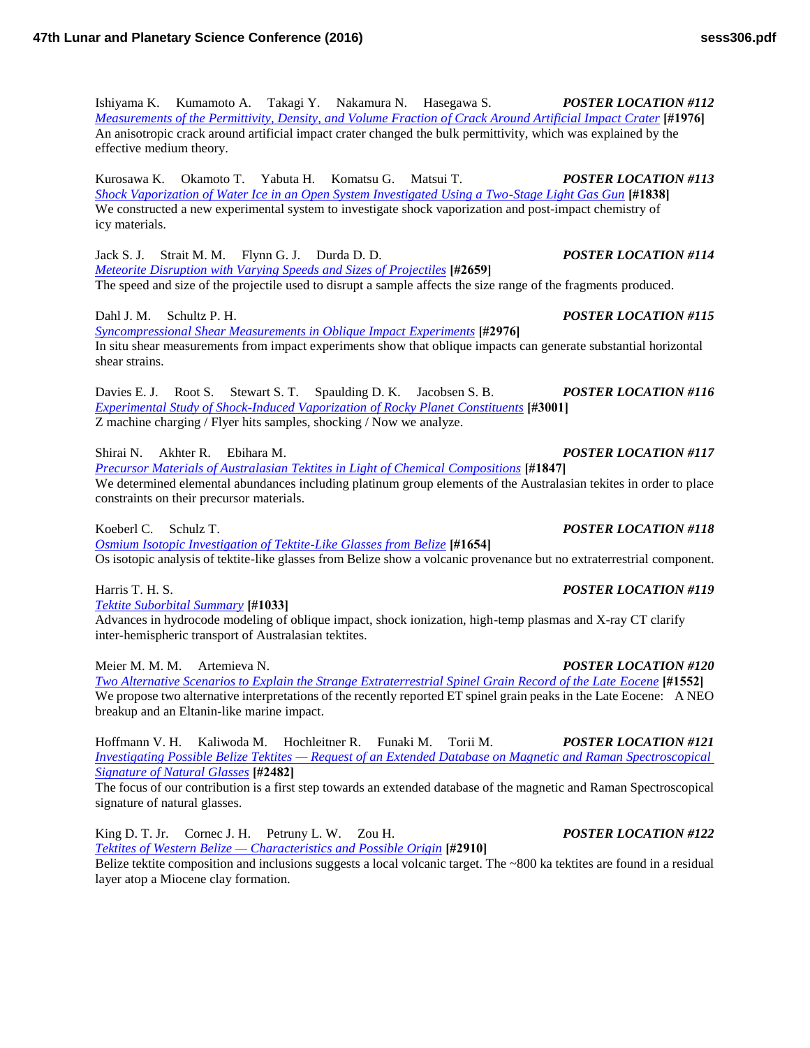Ishiyama K. Kumamoto A. Takagi Y. Nakamura N. Hasegawa S. *POSTER LOCATION #112 [Measurements of the Permittivity, Density, and Volume Fraction of Crack Around Artificial Impact Crater](http://www.hou.usra.edu/meetings/lpsc2016/pdf/1976.pdf)* **[#1976]** An anisotropic crack around artificial impact crater changed the bulk permittivity, which was explained by the effective medium theory.

Kurosawa K. Okamoto T. Yabuta H. Komatsu G. Matsui T. *POSTER LOCATION #113 [Shock Vaporization of Water Ice in an Open System Investigated Using a Two-Stage Light Gas Gun](http://www.hou.usra.edu/meetings/lpsc2016/pdf/1838.pdf)* **[#1838]** We constructed a new experimental system to investigate shock vaporization and post-impact chemistry of icy materials.

Jack S. J. Strait M. M. Flynn G. J. Durda D. D. *POSTER LOCATION #114 [Meteorite Disruption with Varying Speeds and Sizes of Projectiles](http://www.hou.usra.edu/meetings/lpsc2016/pdf/2659.pdf)* **[#2659]** The speed and size of the projectile used to disrupt a sample affects the size range of the fragments produced.

Dahl J. M. Schultz P. H. *POSTER LOCATION #115*

*[Syncompressional Shear Measurements in Oblique Impact Experiments](http://www.hou.usra.edu/meetings/lpsc2016/pdf/2976.pdf)* **[#2976]** In situ shear measurements from impact experiments show that oblique impacts can generate substantial horizontal shear strains.

Davies E. J. Root S. Stewart S. T. Spaulding D. K. Jacobsen S. B. *POSTER LOCATION #116 [Experimental Study of Shock-Induced Vaporization of Rocky Planet Constituents](http://www.hou.usra.edu/meetings/lpsc2016/pdf/3001.pdf)* **[#3001]** Z machine charging / Flyer hits samples, shocking / Now we analyze.

Shirai N. Akhter R. Ebihara M. *POSTER LOCATION #117*

*[Precursor Materials of Australasian Tektites in Light of Chemical Compositions](http://www.hou.usra.edu/meetings/lpsc2016/pdf/1847.pdf)* **[#1847]** We determined elemental abundances including platinum group elements of the Australasian tekites in order to place constraints on their precursor materials.

*[Osmium Isotopic Investigation of Tektite-Like Glasses from Belize](http://www.hou.usra.edu/meetings/lpsc2016/pdf/1654.pdf)* **[#1654]**

Os isotopic analysis of tektite-like glasses from Belize show a volcanic provenance but no extraterrestrial component.

*[Tektite Suborbital Summary](http://www.hou.usra.edu/meetings/lpsc2016/pdf/1033.pdf)* **[#1033]**

Advances in hydrocode modeling of oblique impact, shock ionization, high-temp plasmas and X-ray CT clarify inter-hemispheric transport of Australasian tektites.

Meier M. M. M. Artemieva N. *POSTER LOCATION #120*

*[Two Alternative Scenarios to Explain the Strange Extraterrestrial Spinel Grain Record of the Late Eocene](http://www.hou.usra.edu/meetings/lpsc2016/pdf/1552.pdf)* **[#1552]** We propose two alternative interpretations of the recently reported ET spinel grain peaks in the Late Eocene: A NEO breakup and an Eltanin-like marine impact.

Hoffmann V. H. Kaliwoda M. Hochleitner R. Funaki M. Torii M. *POSTER LOCATION #121 [Investigating Possible Belize Tektites — Request of an Extended Database on Magnetic and Raman Spectroscopical](http://www.hou.usra.edu/meetings/lpsc2016/pdf/2482.pdf)  [Signature of Natural Glasses](http://www.hou.usra.edu/meetings/lpsc2016/pdf/2482.pdf)* **[#2482]**

The focus of our contribution is a first step towards an extended database of the magnetic and Raman Spectroscopical signature of natural glasses.

King D. T. Jr. Cornec J. H. Petruny L. W. Zou H. *POSTER LOCATION #122 [Tektites of Western Belize — Characteristics and Possible Origin](http://www.hou.usra.edu/meetings/lpsc2016/pdf/2910.pdf)* **[#2910]**

Belize tektite composition and inclusions suggests a local volcanic target. The ~800 ka tektites are found in a residual layer atop a Miocene clay formation.

Koeberl C. Schulz T. *POSTER LOCATION #118*

## Harris T. H. S. *POSTER LOCATION #119*